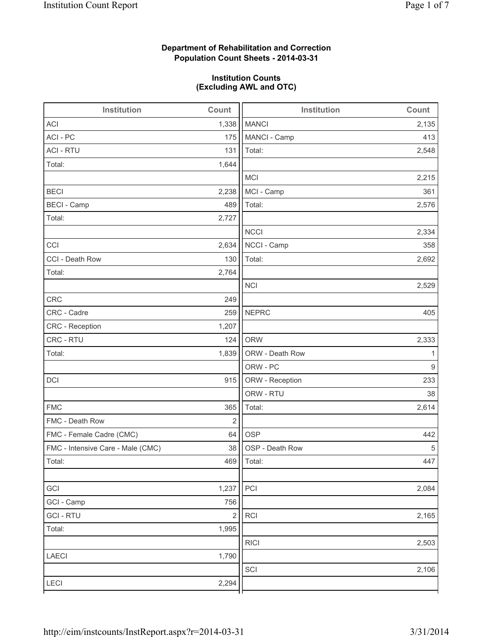# **Department of Rehabilitation and Correction Population Count Sheets - 2014-03-31**

## **Institution Counts (Excluding AWL and OTC)**

| Institution                       | Count      | <b>Institution</b> | Count |
|-----------------------------------|------------|--------------------|-------|
| <b>ACI</b>                        | 1,338      | <b>MANCI</b>       | 2,135 |
| ACI - PC                          | 175        | MANCI - Camp       | 413   |
| <b>ACI - RTU</b>                  | 131        | Total:             | 2,548 |
| Total:                            | 1,644      |                    |       |
|                                   |            | <b>MCI</b>         | 2,215 |
| <b>BECI</b>                       | 2,238      | MCI - Camp         | 361   |
| <b>BECI - Camp</b>                | 489        | Total:             | 2,576 |
| Total:                            | 2,727      |                    |       |
|                                   |            | <b>NCCI</b>        | 2,334 |
| CCI                               | 2,634      | NCCI - Camp        | 358   |
| CCI - Death Row                   | 130        | Total:             | 2,692 |
| Total:                            | 2,764      |                    |       |
|                                   |            | <b>NCI</b>         | 2,529 |
| <b>CRC</b>                        | 249        |                    |       |
| CRC - Cadre                       | 259        | <b>NEPRC</b>       | 405   |
| CRC - Reception                   | 1,207      |                    |       |
| CRC - RTU                         | 124        | <b>ORW</b>         | 2,333 |
| Total:                            | 1,839      | ORW - Death Row    | 1     |
|                                   |            | ORW - PC           | 9     |
| DCI                               | 915        | ORW - Reception    | 233   |
|                                   |            | ORW - RTU          | 38    |
| <b>FMC</b>                        | 365        | Total:             | 2,614 |
| FMC - Death Row                   | $\sqrt{2}$ |                    |       |
| FMC - Female Cadre (CMC)          | 64         | <b>OSP</b>         | 442   |
| FMC - Intensive Care - Male (CMC) | 38         | OSP - Death Row    | 5     |
| Total:                            |            | 469   Total:       | 447   |
|                                   |            |                    |       |
| GCI                               | 1,237      | PCI                | 2,084 |
| GCI - Camp                        | 756        |                    |       |
| <b>GCI-RTU</b>                    | $\sqrt{2}$ | RCI                | 2,165 |
| Total:                            | 1,995      |                    |       |
|                                   |            | <b>RICI</b>        | 2,503 |
| LAECI                             | 1,790      |                    |       |
|                                   |            | SCI                | 2,106 |
| LECI                              | 2,294      |                    |       |
|                                   |            |                    |       |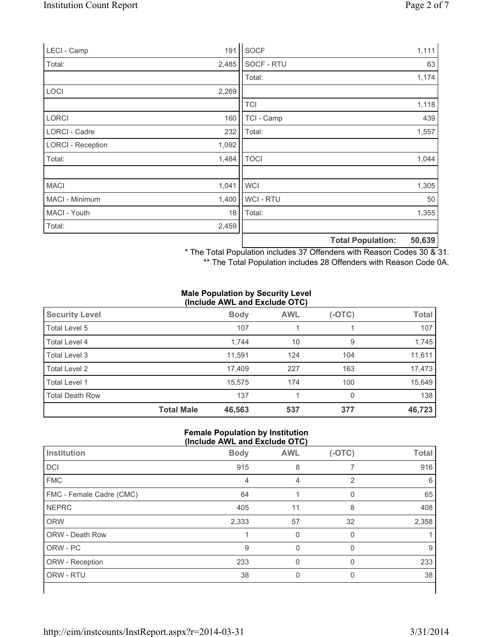| LECI - Camp              | 191   | SOCF           |                          | 1,111  |
|--------------------------|-------|----------------|--------------------------|--------|
| Total:                   | 2,485 | SOCF - RTU     |                          | 63     |
|                          |       | Total:         |                          | 1,174  |
| LOCI                     | 2,269 |                |                          |        |
|                          |       | <b>TCI</b>     |                          | 1,118  |
| <b>LORCI</b>             | 160   | TCI - Camp     |                          | 439    |
| LORCI - Cadre            | 232   | Total:         |                          | 1,557  |
| <b>LORCI - Reception</b> | 1,092 |                |                          |        |
| Total:                   | 1,484 | <b>TOCI</b>    |                          | 1,044  |
|                          |       |                |                          |        |
| <b>MACI</b>              | 1,041 | <b>WCI</b>     |                          | 1,305  |
| MACI - Minimum           | 1,400 | <b>WCI-RTU</b> |                          | 50     |
| MACI - Youth             | 18    | Total:         |                          | 1,355  |
| Total:                   | 2,459 |                |                          |        |
|                          |       |                | <b>Total Population:</b> | 50,639 |

\* The Total Population includes 37 Offenders with Reason Codes 30 & 31.

\*\* The Total Population includes 28 Offenders with Reason Code 0A.

### **Male Population by Security Level (Include AWL and Exclude OTC)**

| <b>Security Level</b>  |                   | <b>Body</b> | <b>AWL</b> | $(-OTC)$ | <b>Total</b> |  |  |
|------------------------|-------------------|-------------|------------|----------|--------------|--|--|
| Total Level 5          |                   | 107         |            |          | 107          |  |  |
| Total Level 4          |                   | 1,744       | 10         | 9        | 1,745        |  |  |
| Total Level 3          |                   | 11.591      | 124        | 104      | 11,611       |  |  |
| Total Level 2          |                   | 17,409      | 227        | 163      | 17,473       |  |  |
| Total Level 1          |                   | 15.575      | 174        | 100      | 15,649       |  |  |
| <b>Total Death Row</b> |                   | 137         |            | 0        | 138          |  |  |
|                        | <b>Total Male</b> | 46,563      | 537        | 377      | 46,723       |  |  |

### **Female Population by Institution (Include AWL and Exclude OTC)**

| Institution              | <b>Body</b> | <b>AWL</b> | $(-OTC)$     | <b>Total</b> |
|--------------------------|-------------|------------|--------------|--------------|
| DCI                      | 915         | 8          |              | 916          |
| <b>FMC</b>               | 4           | 4          | 2            | 6            |
| FMC - Female Cadre (CMC) | 64          |            | $\mathbf{0}$ | 65           |
| <b>NEPRC</b>             | 405         | 11         | 8            | 408          |
| <b>ORW</b>               | 2,333       | 57         | 32           | 2,358        |
| <b>ORW - Death Row</b>   |             | 0          | $\Omega$     |              |
| ORW - PC                 | 9           | $\Omega$   | 0            | 9            |
| ORW - Reception          | 233         | 0          | $\Omega$     | 233          |
| ORW - RTU                | 38          | 0          | 0            | 38           |
|                          |             |            |              |              |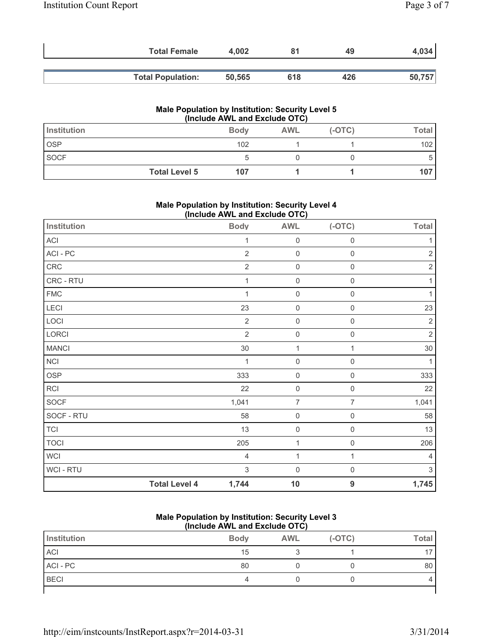| <b>Total Female</b>      | 4.002  |     | 49  | 4,034  |
|--------------------------|--------|-----|-----|--------|
| <b>Total Population:</b> | 50,565 | 618 | 426 | 50,757 |

### **Male Population by Institution: Security Level 5 (Include AWL and Exclude OTC)**

| Institution          | <b>Body</b> | <b>AWL</b> | $(-OTC)$ | Total            |
|----------------------|-------------|------------|----------|------------------|
| <b>OSP</b>           | 102         |            |          | 102              |
| <b>SOCF</b>          |             |            |          |                  |
| <b>Total Level 5</b> | 107         |            |          | 107 <sup>°</sup> |

### **Male Population by Institution: Security Level 4 (Include AWL and Exclude OTC)**

| Institution  |                      | <b>Body</b>               | <b>AWL</b>          | $(-OTC)$            | <b>Total</b> |
|--------------|----------------------|---------------------------|---------------------|---------------------|--------------|
| ACI          |                      | 1                         | $\mathsf 0$         | $\mathbf 0$         | 1            |
| ACI-PC       |                      | $\overline{2}$            | $\mathbf 0$         | $\mathbf 0$         | $\sqrt{2}$   |
| CRC          |                      | $\sqrt{2}$                | $\mathsf 0$         | $\mathsf 0$         | $\sqrt{2}$   |
| CRC - RTU    |                      | 1                         | $\pmb{0}$           | $\mathbf 0$         | 1            |
| <b>FMC</b>   |                      | $\overline{1}$            | $\mathbf 0$         | $\mathbf 0$         | 1            |
| <b>LECI</b>  |                      | 23                        | $\mathsf{O}\xspace$ | $\mathsf{O}\xspace$ | 23           |
| LOCI         |                      | $\overline{2}$            | $\mathsf 0$         | $\mathbf 0$         | $\sqrt{2}$   |
| LORCI        |                      | $\overline{2}$            | $\mathsf{O}\xspace$ | $\mathsf{O}\xspace$ | $\sqrt{2}$   |
| <b>MANCI</b> |                      | $30\,$                    | $\mathbf 1$         | 1                   | $30\,$       |
| <b>NCI</b>   |                      | 1                         | $\mathbf 0$         | $\mathsf{O}\xspace$ | 1            |
| <b>OSP</b>   |                      | 333                       | $\pmb{0}$           | $\mathbf 0$         | 333          |
| <b>RCI</b>   |                      | 22                        | $\pmb{0}$           | $\mathbf 0$         | 22           |
| SOCF         |                      | 1,041                     | $\overline{7}$      | $\overline{7}$      | 1,041        |
| SOCF - RTU   |                      | 58                        | $\mathsf{O}\xspace$ | $\mathbf 0$         | 58           |
| <b>TCI</b>   |                      | 13                        | $\mathsf{O}\xspace$ | $\mathsf{O}\xspace$ | 13           |
| <b>TOCI</b>  |                      | 205                       | $\mathbf 1$         | $\mathsf{O}\xspace$ | 206          |
| WCI          |                      | $\overline{4}$            | 1                   | 1                   | 4            |
| WCI - RTU    |                      | $\ensuremath{\mathsf{3}}$ | $\mathbf 0$         | $\mathsf{O}\xspace$ | $\mathsf 3$  |
|              | <b>Total Level 4</b> | 1,744                     | 10                  | 9                   | 1,745        |

#### **Male Population by Institution: Security Level 3 (Include AWL and Exclude OTC)**

| Institution | <b>Body</b> | <b>AWL</b> | $(-OTC)$ | <b>Total</b> |
|-------------|-------------|------------|----------|--------------|
| <b>ACI</b>  | 15          |            |          |              |
| ACI - PC    | 80          |            |          | 80           |
| <b>BECI</b> |             |            |          |              |
|             |             |            |          |              |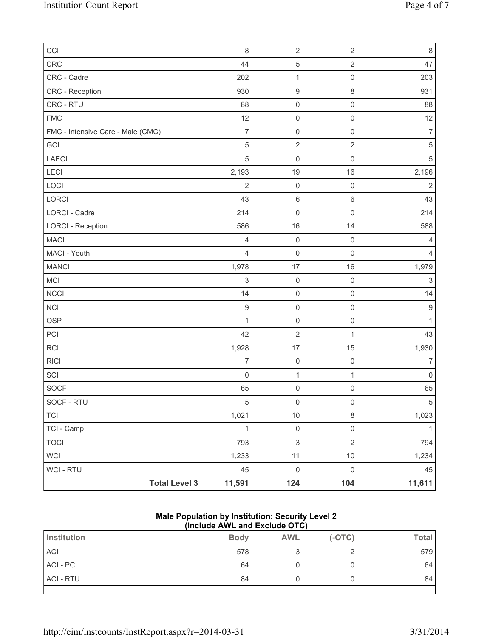| CCI                               | $\,8\,$          | $\sqrt{2}$                | $\sqrt{2}$          | 8                         |
|-----------------------------------|------------------|---------------------------|---------------------|---------------------------|
| CRC                               | 44               | $\,$ 5 $\,$               | $\sqrt{2}$          | 47                        |
| CRC - Cadre                       | 202              | 1                         | $\mathsf{O}\xspace$ | 203                       |
| CRC - Reception                   | 930              | $\hbox{9}$                | 8                   | 931                       |
| CRC - RTU                         | 88               | $\mathsf{O}\xspace$       | $\mathsf{O}\xspace$ | 88                        |
| <b>FMC</b>                        | 12               | $\mathsf{O}\xspace$       | $\mathsf{O}\xspace$ | 12                        |
| FMC - Intensive Care - Male (CMC) | $\overline{7}$   | $\mathsf{O}\xspace$       | $\mathsf 0$         | $\overline{\mathcal{I}}$  |
| GCI                               | 5                | $\sqrt{2}$                | $\sqrt{2}$          | $5\,$                     |
| <b>LAECI</b>                      | 5                | $\mathsf 0$               | $\mathsf 0$         | $5\,$                     |
| <b>LECI</b>                       | 2,193            | 19                        | 16                  | 2,196                     |
| LOCI                              | $\overline{2}$   | $\mathsf{O}\xspace$       | $\mathsf{O}\xspace$ | $\sqrt{2}$                |
| LORCI                             | 43               | $\,6\,$                   | $\,6$               | 43                        |
| LORCI - Cadre                     | 214              | $\mathsf{O}\xspace$       | $\mathsf 0$         | 214                       |
| <b>LORCI - Reception</b>          | 586              | 16                        | 14                  | 588                       |
| <b>MACI</b>                       | 4                | $\mathsf{O}\xspace$       | $\mathsf{O}\xspace$ | 4                         |
| MACI - Youth                      | $\overline{4}$   | $\mathsf{O}\xspace$       | $\mathsf{O}\xspace$ | 4                         |
| <b>MANCI</b>                      | 1,978            | 17                        | 16                  | 1,979                     |
| MCI                               | 3                | $\mathsf 0$               | $\mathsf 0$         | $\ensuremath{\mathsf{3}}$ |
| <b>NCCI</b>                       | 14               | $\mathsf{O}\xspace$       | $\mathsf{O}\xspace$ | 14                        |
| <b>NCI</b>                        | $\boldsymbol{9}$ | $\mathsf{O}\xspace$       | $\mathsf{O}\xspace$ | $\boldsymbol{9}$          |
| OSP                               | 1                | $\mathsf{O}\xspace$       | $\mathsf 0$         | $\mathbf{1}$              |
| PCI                               | 42               | $\overline{2}$            | 1                   | 43                        |
| RCI                               | 1,928            | 17                        | 15                  | 1,930                     |
| <b>RICI</b>                       | 7                | $\mathsf 0$               | $\mathsf{O}\xspace$ | $\overline{7}$            |
| SCI                               | $\mathbf 0$      | $\mathbf 1$               | $\mathbf{1}$        | $\mathsf{O}\xspace$       |
| SOCF                              | 65               | $\mathsf{O}\xspace$       | $\mathbf 0$         | 65                        |
| SOCF - RTU                        | 5                | $\mathsf{O}\xspace$       | $\mathsf{O}\xspace$ | 5                         |
| <b>TCI</b>                        | 1,021            | $10$                      | $\,8\,$             | 1,023                     |
| TCI - Camp                        | $\mathbf 1$      | $\mathsf{O}\xspace$       | $\mathsf{O}\xspace$ | $\mathbf{1}$              |
| <b>TOCI</b>                       | 793              | $\ensuremath{\mathsf{3}}$ | $\overline{2}$      | 794                       |
| <b>WCI</b>                        | 1,233            | 11                        | $10\,$              | 1,234                     |
| <b>WCI - RTU</b>                  | 45               | $\mathsf{O}\xspace$       | $\mathsf 0$         | 45                        |
| <b>Total Level 3</b>              | 11,591           | 124                       | 104                 | 11,611                    |

#### **Male Population by Institution: Security Level 2 (Include AWL and Exclude OTC)**

|                  | .           |            |          |              |
|------------------|-------------|------------|----------|--------------|
| Institution      | <b>Body</b> | <b>AWL</b> | $(-OTC)$ | <b>Total</b> |
| <b>ACI</b>       | 578         |            |          | 579          |
| ACI - PC         | 64          |            |          | 64           |
| <b>ACI - RTU</b> | 84          |            |          | 84           |
|                  |             |            |          |              |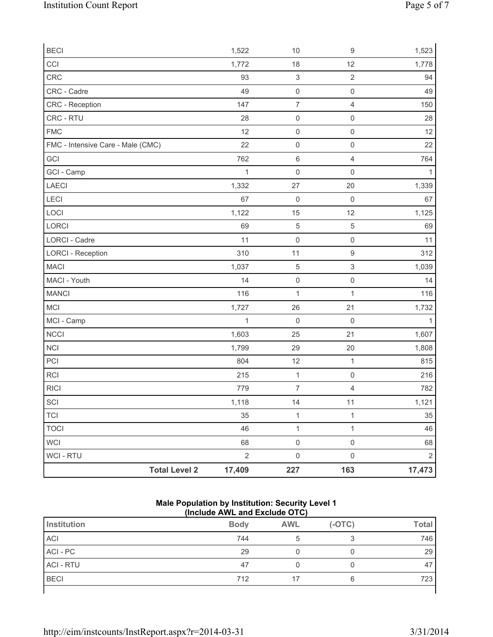|                                   | <b>Total Level 2</b> | 17,409               | 227                                   | 163                       | 17,473         |
|-----------------------------------|----------------------|----------------------|---------------------------------------|---------------------------|----------------|
| <b>WCI-RTU</b>                    |                      | $\overline{2}$       | $\mathsf{O}\xspace$                   | $\mathsf{O}\xspace$       | $\overline{2}$ |
| <b>WCI</b>                        |                      | 68                   | $\mathsf 0$                           | $\mathsf{O}\xspace$       | 68             |
| <b>TOCI</b>                       |                      | 46                   | $\mathbf 1$                           | $\mathbf{1}$              | 46             |
| <b>TCI</b>                        |                      | 35                   | $\mathbf{1}$                          | $\mathbf{1}$              | 35             |
| SCI                               |                      | 1,118                | 14                                    | 11                        | 1,121          |
| <b>RICI</b>                       |                      | 779                  | $\overline{7}$                        | $\overline{4}$            | 782            |
| RCI                               |                      | 215                  | $\mathbf{1}$                          | $\mathsf{O}\xspace$       | 216            |
| PCI                               |                      | 804                  | 12                                    | $\mathbf 1$               | 815            |
| <b>NCI</b>                        |                      | 1,799                | 29                                    | 20                        | 1,808          |
| <b>NCCI</b>                       |                      | 1,603                | 25                                    | 21                        | 1,607          |
| MCI - Camp                        |                      | $\mathbf{1}$         | $\mathbf 0$                           | $\mathbf 0$               | $\mathbf{1}$   |
| MCI                               |                      | 1,727                | 26                                    | 21                        | 1,732          |
| <b>MANCI</b>                      |                      | 116                  | 1                                     | $\mathbf{1}$              | 116            |
| MACI - Youth                      |                      | 14                   | $\mathsf{O}\xspace$                   | $\mathsf{O}\xspace$       | 14             |
| <b>MACI</b>                       |                      | 1,037                | $\sqrt{5}$                            | $\mathsf 3$               | 1,039          |
| <b>LORCI - Reception</b>          |                      | 310                  | 11                                    | $\mathsf g$               | 312            |
| <b>LORCI - Cadre</b>              |                      | 11                   | $\mathsf 0$                           | $\mathsf{O}\xspace$       | 11             |
| LORCI                             |                      | 69                   | $\sqrt{5}$                            | $\sqrt{5}$                | 69             |
| LOCI                              |                      | 1,122                | 15                                    | 12                        | 1,125          |
| LECI                              |                      | 67                   | $\mathbf 0$                           | $\mathsf{O}\xspace$       | 67             |
| LAECI                             |                      | 1,332                | 27                                    | 20                        | 1,339          |
| GCI - Camp                        |                      | $\mathbf{1}$         | $\mathsf{O}\xspace$                   | $\mathsf{O}\xspace$       | 1              |
| GCI                               |                      | 762                  | $6\,$                                 | $\overline{4}$            | 764            |
| FMC - Intensive Care - Male (CMC) |                      | 22                   | $\mathsf{O}\xspace$                   | $\mathsf{O}\xspace$       | 22             |
| <b>FMC</b>                        |                      | 12                   | $\mathsf{O}\xspace$                   | $\mathsf{O}\xspace$       | 12             |
| CRC - RTU                         |                      | 28                   | $\mathsf 0$                           | $\mathsf{O}\xspace$       | 28             |
| <b>CRC</b> - Reception            |                      | 147                  | $\boldsymbol{7}$                      | $\overline{4}$            | 150            |
| CRC - Cadre                       |                      | 49                   | $\mathsf 0$                           | $\mathsf 0$               | 49             |
|                                   |                      |                      |                                       |                           | 1,778<br>94    |
|                                   |                      |                      |                                       |                           | 1,523          |
| <b>BECI</b><br>CCI<br>CRC         |                      | 1,522<br>1,772<br>93 | 10<br>18<br>$\ensuremath{\mathsf{3}}$ | 9<br>12<br>$\overline{2}$ |                |

#### **Male Population by Institution: Security Level 1 (Include AWL and Exclude OTC)**

| Institution | <b>Body</b> | <b>AWL</b> | $(-OTC)$ | <b>Total</b> |  |  |
|-------------|-------------|------------|----------|--------------|--|--|
| ACI         | 744         |            | ◠        | 746          |  |  |
| ACI - PC    | 29          |            |          | 29           |  |  |
| ACI - RTU   | 47          |            |          | 47           |  |  |
| <b>BECI</b> | 712         |            | 6        | 723          |  |  |
|             |             |            |          |              |  |  |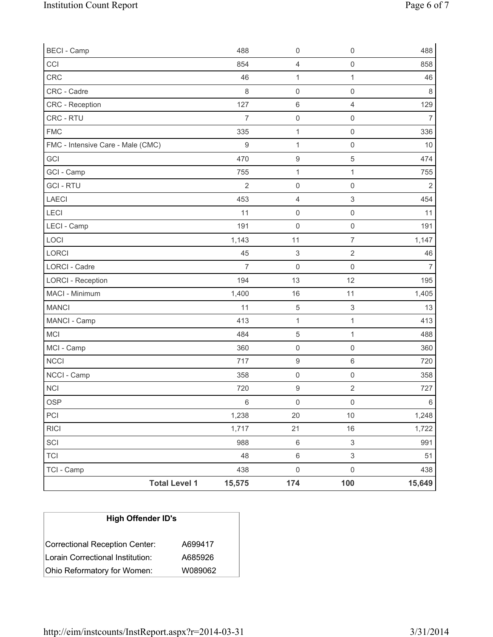| <b>Total Level 1</b>              | 15,575         | 174                       | 100                       | 15,649         |
|-----------------------------------|----------------|---------------------------|---------------------------|----------------|
| TCI - Camp                        | 438            | $\mathsf{O}\xspace$       | $\mathsf 0$               | 438            |
| <b>TCI</b>                        | 48             | 6                         | 3                         | 51             |
| SCI                               | 988            | $\,6$                     | $\ensuremath{\mathsf{3}}$ | 991            |
| <b>RICI</b>                       | 1,717          | 21                        | 16                        | 1,722          |
| PCI                               | 1,238          | 20                        | $10$                      | 1,248          |
| <b>OSP</b>                        | $6\,$          | $\mathsf{O}\xspace$       | $\mathsf 0$               | 6              |
| NCI                               | 720            | $\hbox{9}$                | $\sqrt{2}$                | 727            |
| NCCI - Camp                       | 358            | $\mathsf{O}\xspace$       | $\mathsf{O}\xspace$       | 358            |
| <b>NCCI</b>                       | 717            | $\boldsymbol{9}$          | 6                         | 720            |
| MCI - Camp                        | 360            | $\mathsf{O}\xspace$       | $\mathsf 0$               | 360            |
| MCI                               | 484            | $\mathbf 5$               | 1                         | 488            |
| MANCI - Camp                      | 413            | $\mathbf{1}$              | 1                         | 413            |
| <b>MANCI</b>                      | 11             | $\sqrt{5}$                | $\ensuremath{\mathsf{3}}$ | 13             |
| MACI - Minimum                    | 1,400          | 16                        | 11                        | 1,405          |
| <b>LORCI - Reception</b>          | 194            | 13                        | 12                        | 195            |
| <b>LORCI - Cadre</b>              | $\overline{7}$ | $\mathbf 0$               | 0                         | $\overline{7}$ |
| LORCI                             | 45             | $\ensuremath{\mathsf{3}}$ | $\overline{2}$            | 46             |
| LOCI                              | 1,143          | 11                        | $\overline{7}$            | 1,147          |
| LECI - Camp                       | 191            | $\mathbf 0$               | $\mathsf{O}\xspace$       | 191            |
| LECI                              | 11             | $\mathsf 0$               | $\mathsf 0$               | 11             |
| LAECI                             | 453            | 4                         | 3                         | 454            |
| <b>GCI-RTU</b>                    | $\overline{2}$ | $\mathsf{O}\xspace$       | 0                         | $\overline{2}$ |
| GCI - Camp                        | 755            | $\mathbf 1$               | $\mathbf{1}$              | 755            |
| GCI                               | 470            | $\boldsymbol{9}$          | 5                         | 474            |
| FMC - Intensive Care - Male (CMC) | 9              | 1                         | $\mathsf 0$               | 10             |
| <b>FMC</b>                        | 335            | $\mathbf{1}$              | $\mathsf{O}\xspace$       | 336            |
| CRC - RTU                         | $\overline{7}$ | $\mathsf 0$               | $\mathsf{O}\xspace$       | $\overline{7}$ |
| CRC - Reception                   | 127            | $\,6\,$                   | $\overline{4}$            | 129            |
| CRC - Cadre                       | 8              | $\mathsf{O}\xspace$       | $\mathsf{O}\xspace$       | $\,8\,$        |
| CRC                               | 46             | $\mathbf{1}$              | $\mathbf{1}$              | 46             |
| CCI                               | 854            | 4                         | $\mathsf{O}\xspace$       | 858            |
| <b>BECI - Camp</b>                | 488            | $\mathsf{O}\xspace$       | $\mathsf{O}\xspace$       | 488            |

| <b>High Offender ID's</b>        |         |  |
|----------------------------------|---------|--|
| Correctional Reception Center:   | A699417 |  |
| Lorain Correctional Institution: | A685926 |  |
| Ohio Reformatory for Women:      | W089062 |  |